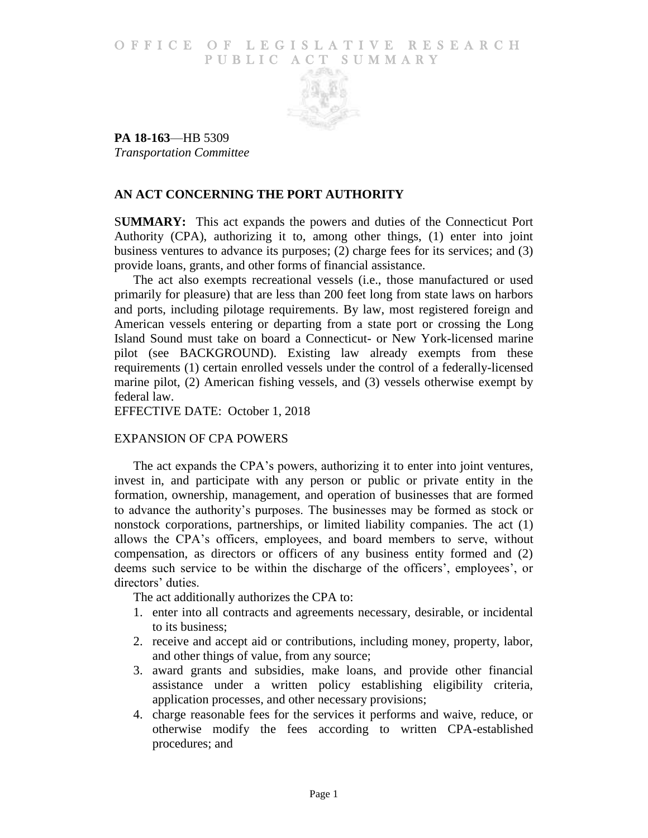### O F FICE OF LEGISLATIVE RESEARCH PUBLIC ACT SUMMARY



**PA 18-163**—HB 5309 *Transportation Committee*

# **AN ACT CONCERNING THE PORT AUTHORITY**

S**UMMARY:** This act expands the powers and duties of the Connecticut Port Authority (CPA), authorizing it to, among other things, (1) enter into joint business ventures to advance its purposes; (2) charge fees for its services; and (3) provide loans, grants, and other forms of financial assistance.

The act also exempts recreational vessels (i.e., those manufactured or used primarily for pleasure) that are less than 200 feet long from state laws on harbors and ports, including pilotage requirements. By law, most registered foreign and American vessels entering or departing from a state port or crossing the Long Island Sound must take on board a Connecticut- or New York-licensed marine pilot (see BACKGROUND). Existing law already exempts from these requirements (1) certain enrolled vessels under the control of a federally-licensed marine pilot, (2) American fishing vessels, and (3) vessels otherwise exempt by federal law.

EFFECTIVE DATE: October 1, 2018

## EXPANSION OF CPA POWERS

The act expands the CPA's powers, authorizing it to enter into joint ventures, invest in, and participate with any person or public or private entity in the formation, ownership, management, and operation of businesses that are formed to advance the authority's purposes. The businesses may be formed as stock or nonstock corporations, partnerships, or limited liability companies. The act (1) allows the CPA's officers, employees, and board members to serve, without compensation, as directors or officers of any business entity formed and (2) deems such service to be within the discharge of the officers', employees', or directors' duties.

The act additionally authorizes the CPA to:

- 1. enter into all contracts and agreements necessary, desirable, or incidental to its business;
- 2. receive and accept aid or contributions, including money, property, labor, and other things of value, from any source;
- 3. award grants and subsidies, make loans, and provide other financial assistance under a written policy establishing eligibility criteria, application processes, and other necessary provisions;
- 4. charge reasonable fees for the services it performs and waive, reduce, or otherwise modify the fees according to written CPA-established procedures; and